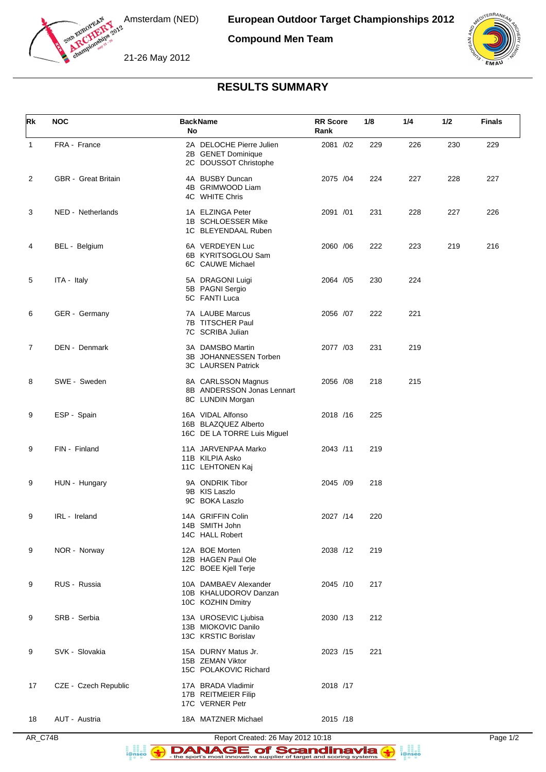

Amsterdam (NED)

**Compound Men Team**





## **RESULTS SUMMARY**

| Rk           | <b>NOC</b>                 | <b>BackName</b><br>No                                                    | <b>RR Score</b><br>Rank | 1/8 | 1/4 | 1/2 | <b>Finals</b> |
|--------------|----------------------------|--------------------------------------------------------------------------|-------------------------|-----|-----|-----|---------------|
| $\mathbf{1}$ | FRA - France               | 2A DELOCHE Pierre Julien<br>2B GENET Dominique<br>2C DOUSSOT Christophe  | 2081 /02                | 229 | 226 | 230 | 229           |
| 2            | <b>GBR</b> - Great Britain | 4A BUSBY Duncan<br>4B GRIMWOOD Liam<br>4C WHITE Chris                    | 2075 /04                | 224 | 227 | 228 | 227           |
| 3            | NED - Netherlands          | 1A ELZINGA Peter<br>1B SCHLOESSER Mike<br>1C BLEYENDAAL Ruben            | 2091 /01                | 231 | 228 | 227 | 226           |
| 4            | BEL - Belgium              | 6A VERDEYEN Luc<br>6B KYRITSOGLOU Sam<br>6C CAUWE Michael                | 2060 / 06               | 222 | 223 | 219 | 216           |
| 5            | ITA - Italy                | 5A DRAGONI Luigi<br>5B PAGNI Sergio<br>5C FANTI Luca                     | 2064 / 05               | 230 | 224 |     |               |
| 6            | GER - Germany              | 7A LAUBE Marcus<br>7B TITSCHER Paul<br>7C SCRIBA Julian                  | 2056 /07                | 222 | 221 |     |               |
| 7            | DEN - Denmark              | 3A DAMSBO Martin<br>3B JOHANNESSEN Torben<br>3C LAURSEN Patrick          | 2077 /03                | 231 | 219 |     |               |
| 8            | SWE - Sweden               | 8A CARLSSON Magnus<br>8B ANDERSSON Jonas Lennart<br>8C LUNDIN Morgan     | 2056 /08                | 218 | 215 |     |               |
| 9            | ESP - Spain                | 16A VIDAL Alfonso<br>16B BLAZQUEZ Alberto<br>16C DE LA TORRE Luis Miguel | 2018 /16                | 225 |     |     |               |
| 9            | FIN - Finland              | 11A JARVENPAA Marko<br>11B KILPIA Asko<br>11C LEHTONEN Kaj               | 2043 /11                | 219 |     |     |               |
| 9            | HUN - Hungary              | 9A ONDRIK Tibor<br>9B KIS Laszlo<br>9C BOKA Laszlo                       | 2045 /09                | 218 |     |     |               |
| 9            | IRL - Ireland              | 14A GRIFFIN Colin<br>14B SMITH John<br>14C HALL Robert                   | 2027 /14                | 220 |     |     |               |
| 9            | NOR - Norway               | 12A BOE Morten<br>12B HAGEN Paul Ole<br>12C BOEE Kjell Terje             | 2038 /12                | 219 |     |     |               |
| 9            | RUS - Russia               | 10A DAMBAEV Alexander<br>10B KHALUDOROV Danzan<br>10C KOZHIN Dmitry      | 2045 /10                | 217 |     |     |               |
| 9            | SRB - Serbia               | 13A UROSEVIC Ljubisa<br>13B MIOKOVIC Danilo<br>13C KRSTIC Borislav       | 2030 /13                | 212 |     |     |               |
| 9            | SVK - Slovakia             | 15A DURNY Matus Jr.<br>15B ZEMAN Viktor<br>15C POLAKOVIC Richard         | 2023 /15                | 221 |     |     |               |
| 17           | CZE - Czech Republic       | 17A BRADA Vladimir<br>17B REITMEIER Filip<br>17C VERNER Petr             | 2018 /17                |     |     |     |               |
| 18           | AUT - Austria              | 18A MATZNER Michael                                                      | 2015 /18                |     |     |     |               |

AR\_C74B Report Created: 26 May 2012 10:18 Page 1/2